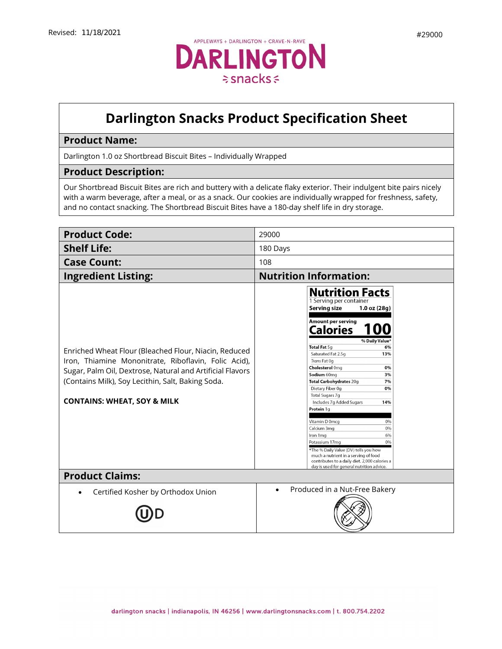

# **Darlington Snacks Product Specification Sheet**

# **Product Name:**

Darlington 1.0 oz Shortbread Biscuit Bites – Individually Wrapped

#### **Product Description:**

Our Shortbread Biscuit Bites are rich and buttery with a delicate flaky exterior. Their indulgent bite pairs nicely with a warm beverage, after a meal, or as a snack. Our cookies are individually wrapped for freshness, safety, and no contact snacking. The Shortbread Biscuit Bites have a 180-day shelf life in dry storage.

| <b>Product Code:</b>                                                                                                                                                                                                                                                      | 29000                                                                                                                                                                                                                                                                                                                                                                                                                                                                                                                                                                                                                                                                                  |
|---------------------------------------------------------------------------------------------------------------------------------------------------------------------------------------------------------------------------------------------------------------------------|----------------------------------------------------------------------------------------------------------------------------------------------------------------------------------------------------------------------------------------------------------------------------------------------------------------------------------------------------------------------------------------------------------------------------------------------------------------------------------------------------------------------------------------------------------------------------------------------------------------------------------------------------------------------------------------|
| <b>Shelf Life:</b>                                                                                                                                                                                                                                                        | 180 Days                                                                                                                                                                                                                                                                                                                                                                                                                                                                                                                                                                                                                                                                               |
| <b>Case Count:</b>                                                                                                                                                                                                                                                        | 108                                                                                                                                                                                                                                                                                                                                                                                                                                                                                                                                                                                                                                                                                    |
| <b>Ingredient Listing:</b>                                                                                                                                                                                                                                                | <b>Nutrition Information:</b>                                                                                                                                                                                                                                                                                                                                                                                                                                                                                                                                                                                                                                                          |
| Enriched Wheat Flour (Bleached Flour, Niacin, Reduced<br>Iron, Thiamine Mononitrate, Riboflavin, Folic Acid),<br>Sugar, Palm Oil, Dextrose, Natural and Artificial Flavors<br>(Contains Milk), Soy Lecithin, Salt, Baking Soda.<br><b>CONTAINS: WHEAT, SOY &amp; MILK</b> | <b>Nutrition Facts</b><br>1 Serving per container<br>Serving size<br>$1.0$ oz $(28q)$<br>Amount per serving<br><b>Calories</b><br>1 QO<br>% Daily Value*<br>Total Fat 5q<br>6%<br>13%<br>Saturated Fat 2.5g<br>Trans Fat Og<br><b>Cholesterol Omg</b><br>0%<br>Sodium 60mg<br>3%<br>Total Carbohydrates 20g<br>7%<br>Dietary Fiber 0g<br>0%<br>Total Sugars 7g<br>Includes 7g Added Sugars<br>14%<br>Protein 1g<br>Vitamin D 0mcq<br>0%<br>0%<br>Calcium 3mg<br>6%<br>Iron 1 mg<br>0%<br>Potassium 17mg<br>*The % Daily Value (DV) tells you how<br>much a nutrient in a serving of food<br>contributes to a daily diet. 2,000 calories a<br>day is used for general nutrition advice. |
| <b>Product Claims:</b>                                                                                                                                                                                                                                                    |                                                                                                                                                                                                                                                                                                                                                                                                                                                                                                                                                                                                                                                                                        |
| Certified Kosher by Orthodox Union                                                                                                                                                                                                                                        | Produced in a Nut-Free Bakery                                                                                                                                                                                                                                                                                                                                                                                                                                                                                                                                                                                                                                                          |
|                                                                                                                                                                                                                                                                           |                                                                                                                                                                                                                                                                                                                                                                                                                                                                                                                                                                                                                                                                                        |